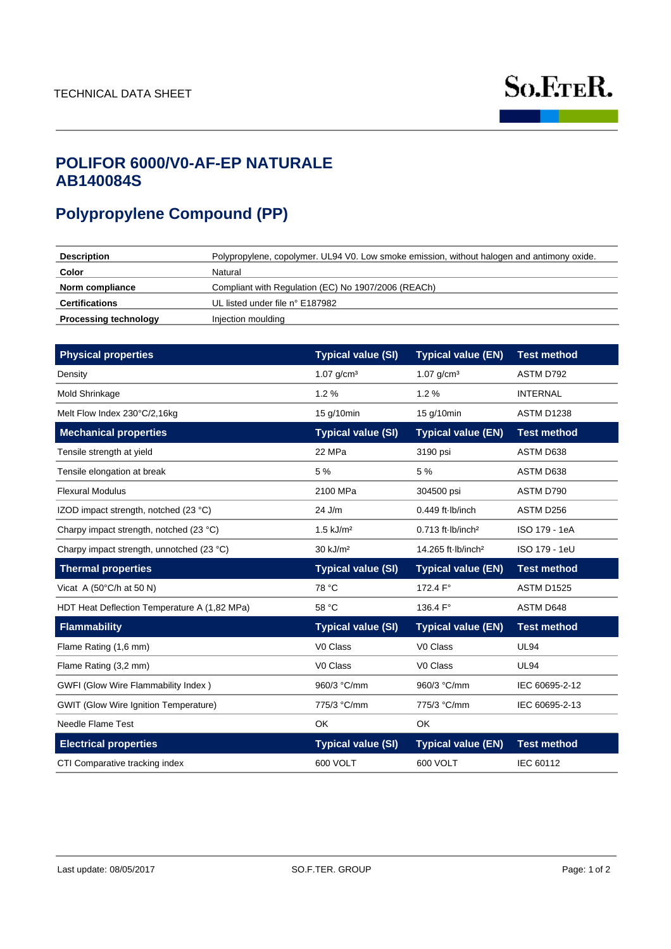

# **AB140084S POLIFOR 6000/V0-AF-EP NATURALE**

# **Polypropylene Compound (PP)**

| <b>Description</b>           | Polypropylene, copolymer. UL94 V0. Low smoke emission, without halogen and antimony oxide. |
|------------------------------|--------------------------------------------------------------------------------------------|
| Color                        | Natural                                                                                    |
| Norm compliance              | Compliant with Regulation (EC) No 1907/2006 (REACh)                                        |
| <b>Certifications</b>        | UL listed under file n° E187982                                                            |
| <b>Processing technology</b> | Injection moulding                                                                         |

| <b>Physical properties</b>                   | <b>Typical value (SI)</b> | <b>Typical value (EN)</b>      | <b>Test method</b> |
|----------------------------------------------|---------------------------|--------------------------------|--------------------|
| Density                                      | $1.07$ g/cm <sup>3</sup>  | $1.07$ g/cm <sup>3</sup>       | ASTM D792          |
| Mold Shrinkage                               | 1.2%                      | 1.2%                           | <b>INTERNAL</b>    |
| Melt Flow Index 230°C/2,16kg                 | 15 g/10min                | 15 g/10min                     | <b>ASTM D1238</b>  |
| <b>Mechanical properties</b>                 | <b>Typical value (SI)</b> | <b>Typical value (EN)</b>      | <b>Test method</b> |
| Tensile strength at yield                    | 22 MPa                    | 3190 psi                       | ASTM D638          |
| Tensile elongation at break                  | 5 %                       | 5 %                            | ASTM D638          |
| <b>Flexural Modulus</b>                      | 2100 MPa                  | 304500 psi                     | ASTM D790          |
| IZOD impact strength, notched (23 °C)        | 24 J/m                    | $0.449$ ft $lb/inch$           | ASTM D256          |
| Charpy impact strength, notched (23 °C)      | $1.5$ kJ/m <sup>2</sup>   | $0.713$ ft $lb/inch^2$         | ISO 179 - 1eA      |
| Charpy impact strength, unnotched (23 °C)    | 30 kJ/m <sup>2</sup>      | 14.265 ft lb/inch <sup>2</sup> | ISO 179 - 1eU      |
| <b>Thermal properties</b>                    | <b>Typical value (SI)</b> | <b>Typical value (EN)</b>      | <b>Test method</b> |
| Vicat A (50 $\degree$ C/h at 50 N)           | 78 °C                     | 172.4 F°                       | ASTM D1525         |
|                                              |                           |                                |                    |
| HDT Heat Deflection Temperature A (1,82 MPa) | 58 °C                     | 136.4 F°                       | ASTM D648          |
| <b>Flammability</b>                          | <b>Typical value (SI)</b> | <b>Typical value (EN)</b>      | <b>Test method</b> |
| Flame Rating (1,6 mm)                        | V0 Class                  | V0 Class                       | <b>UL94</b>        |
| Flame Rating (3,2 mm)                        | V0 Class                  | V0 Class                       | <b>UL94</b>        |
| GWFI (Glow Wire Flammability Index)          | 960/3 °C/mm               | 960/3 °C/mm                    | IEC 60695-2-12     |
| <b>GWIT (Glow Wire Ignition Temperature)</b> | 775/3 °C/mm               | 775/3 °C/mm                    | IEC 60695-2-13     |
| Needle Flame Test                            | OK                        | <b>OK</b>                      |                    |
| <b>Electrical properties</b>                 | <b>Typical value (SI)</b> | <b>Typical value (EN)</b>      | <b>Test method</b> |